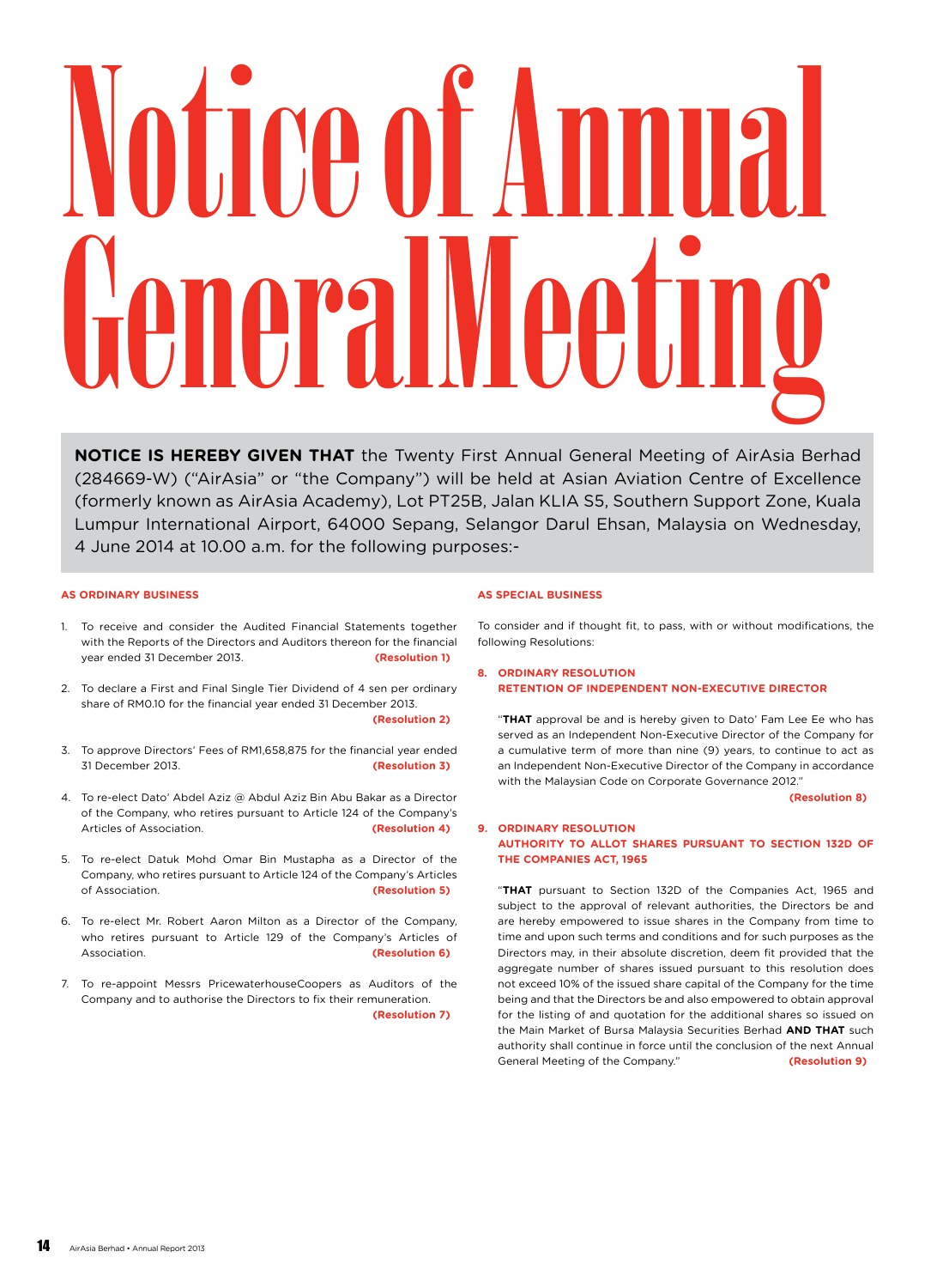# Notice of Annual General Meeting

**NOTICE IS HEREBY GIVEN THAT** the Twenty First Annual General Meeting of AirAsia Berhad (284669-W) ("AirAsia" or "the Company") will be held at Asian Aviation Centre of Excellence (formerly known as AirAsia Academy), Lot PT25B, Jalan KLIA S5, Southern Support Zone, Kuala Lumpur International Airport, 64000 Sepang, Selangor Darul Ehsan, Malaysia on Wednesday, 4 June 2014 at 10.00 a.m. for the following purposes:-

# **AS ORDINARY BUSINESS**

- 1. To receive and consider the Audited Financial Statements together with the Reports of the Directors and Auditors thereon for the financial year ended 31 December 2013. **(Resolution 1)**
- 2. To declare a First and Final Single Tier Dividend of 4 sen per ordinary share of RM0.10 for the financial year ended 31 December 2013. **(Resolution 2)**
- 3. To approve Directors' Fees of RM1,658,875 for the financial year ended 31 December 2013. **(Resolution 3)**
- 4. To re-elect Dato' Abdel Aziz @ Abdul Aziz Bin Abu Bakar as a Director of the Company, who retires pursuant to Article 124 of the Company's Articles of Association. **(Resolution 4)**
- 5. To re-elect Datuk Mohd Omar Bin Mustapha as a Director of the Company, who retires pursuant to Article 124 of the Company's Articles of Association. **(Resolution 5)**
- 6. To re-elect Mr. Robert Aaron Milton as a Director of the Company, who retires pursuant to Article 129 of the Company's Articles of Association. **(Resolution 6)**
- 7. To re-appoint Messrs PricewaterhouseCoopers as Auditors of the Company and to authorise the Directors to fix their remuneration. **(Resolution 7)**

# **AS SPECIAL BUSINESS**

To consider and if thought fit, to pass, with or without modifications, the following Resolutions:

# **8. ORDINARY RESOLUTION RETENTION OF INDEPENDENT NON-EXECUTIVE DIRECTOR**

"**THAT** approval be and is hereby given to Dato' Fam Lee Ee who has served as an Independent Non-Executive Director of the Company for a cumulative term of more than nine (9) years, to continue to act as an Independent Non-Executive Director of the Company in accordance with the Malaysian Code on Corporate Governance 2012."

**(Resolution 8)**

# **9. ORDINARY RESOLUTION AUTHORITY TO ALLOT SHARES PURSUANT TO SECTION 132D OF THE COMPANIES ACT, 1965**

"**THAT** pursuant to Section 132D of the Companies Act, 1965 and subject to the approval of relevant authorities, the Directors be and are hereby empowered to issue shares in the Company from time to time and upon such terms and conditions and for such purposes as the Directors may, in their absolute discretion, deem fit provided that the aggregate number of shares issued pursuant to this resolution does not exceed 10% of the issued share capital of the Company for the time being and that the Directors be and also empowered to obtain approval for the listing of and quotation for the additional shares so issued on the Main Market of Bursa Malaysia Securities Berhad **AND THAT** such authority shall continue in force until the conclusion of the next Annual General Meeting of the Company." **(Resolution 9)**